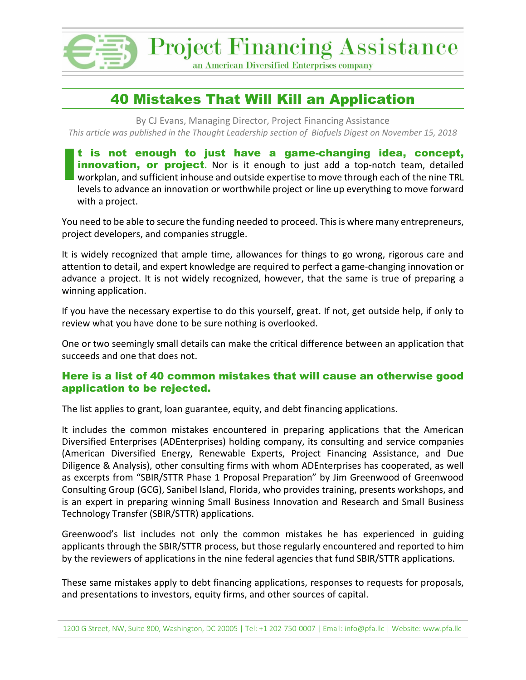

**Project Financing Assistance** 

an American Diversified Enterprises company

## 40 Mistakes That Will Kill an Application

By CJ Evans, Managing Director, Project Financing Assistance *This article was published in the Thought Leadership section of Biofuels Digest on November 15, 2018*

t is not enough to just have a game-changing idea, concept, **innovation, or project.** Nor is it enough to just add a top-notch team, detailed workplan, and sufficient inhouse and outside expertise to move through each of the nine TRL levels to advance an innovation or worthwhile project or line up everything to move forward with a project. **I**

You need to be able to secure the funding needed to proceed. This is where many entrepreneurs, project developers, and companies struggle.

It is widely recognized that ample time, allowances for things to go wrong, rigorous care and attention to detail, and expert knowledge are required to perfect a game-changing innovation or advance a project. It is not widely recognized, however, that the same is true of preparing a winning application.

If you have the necessary expertise to do this yourself, great. If not, get outside help, if only to review what you have done to be sure nothing is overlooked.

One or two seemingly small details can make the critical difference between an application that succeeds and one that does not.

#### Here is a list of 40 common mistakes that will cause an otherwise good application to be rejected.

The list applies to grant, loan guarantee, equity, and debt financing applications.

It includes the common mistakes encountered in preparing applications that the American Diversified Enterprises (ADEnterprises) holding company, its consulting and service companies (American Diversified Energy, Renewable Experts, Project Financing Assistance, and Due Diligence & Analysis), other consulting firms with whom ADEnterprises has cooperated, as well as excerpts from "SBIR/STTR Phase 1 Proposal Preparation" by Jim Greenwood of Greenwood Consulting Group (GCG), Sanibel Island, Florida, who provides training, presents workshops, and is an expert in preparing winning Small Business Innovation and Research and Small Business Technology Transfer (SBIR/STTR) applications.

Greenwood's list includes not only the common mistakes he has experienced in guiding applicants through the SBIR/STTR process, but those regularly encountered and reported to him by the reviewers of applications in the nine federal agencies that fund SBIR/STTR applications.

These same mistakes apply to debt financing applications, responses to requests for proposals, and presentations to investors, equity firms, and other sources of capital.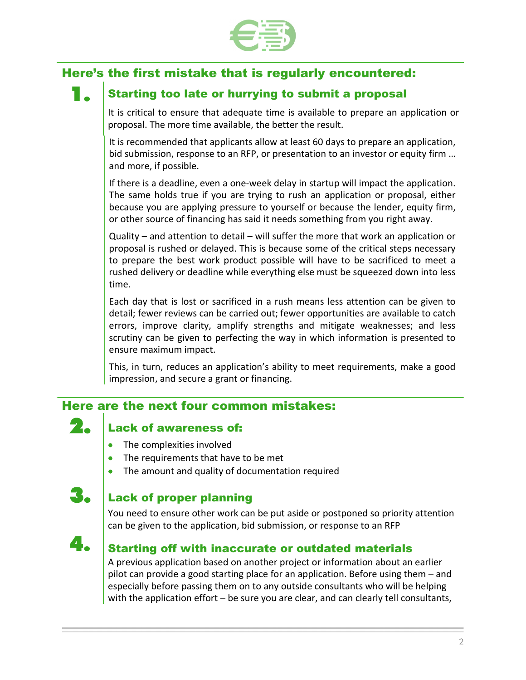

# Here's the first mistake that is regularly encountered:

## Starting too late or hurrying to submit a proposal

It is critical to ensure that adequate time is available to prepare an application or proposal. The more time available, the better the result.

It is recommended that applicants allow at least 60 days to prepare an application, bid submission, response to an RFP, or presentation to an investor or equity firm … and more, if possible.

If there is a deadline, even a one-week delay in startup will impact the application. The same holds true if you are trying to rush an application or proposal, either because you are applying pressure to yourself or because the lender, equity firm, or other source of financing has said it needs something from you right away.

Quality – and attention to detail – will suffer the more that work an application or proposal is rushed or delayed. This is because some of the critical steps necessary to prepare the best work product possible will have to be sacrificed to meet a rushed delivery or deadline while everything else must be squeezed down into less time.

Each day that is lost or sacrificed in a rush means less attention can be given to detail; fewer reviews can be carried out; fewer opportunities are available to catch errors, improve clarity, amplify strengths and mitigate weaknesses; and less scrutiny can be given to perfecting the way in which information is presented to ensure maximum impact.

This, in turn, reduces an application's ability to meet requirements, make a good impression, and secure a grant or financing.

### Here are the next four common mistakes:

## $2.$  Lack of awareness of:

- The complexities involved
- The requirements that have to be met
- The amount and quality of documentation required

## **Lack of proper planning**

You need to ensure other work can be put aside or postponed so priority attention can be given to the application, bid submission, or response to an RFP



## $\clubsuit$   $\blacksquare$  Starting off with inaccurate or outdated materials

A previous application based on another project or information about an earlier pilot can provide a good starting place for an application. Before using them – and especially before passing them on to any outside consultants who will be helping with the application effort – be sure you are clear, and can clearly tell consultants,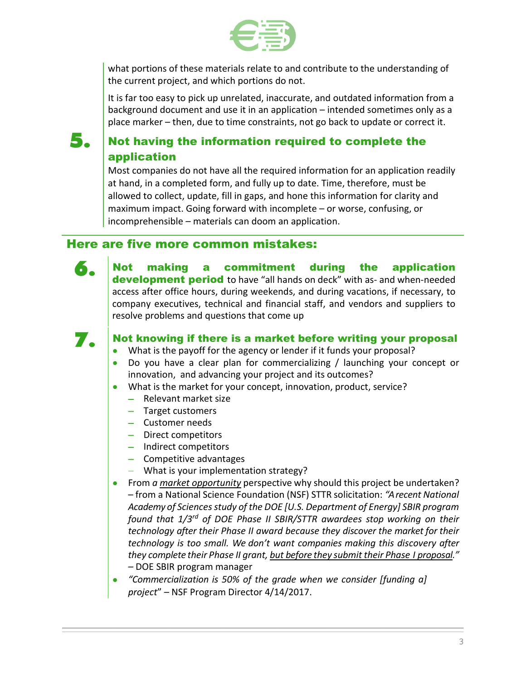

what portions of these materials relate to and contribute to the understanding of the current project, and which portions do not.

It is far too easy to pick up unrelated, inaccurate, and outdated information from a background document and use it in an application – intended sometimes only as a place marker – then, due to time constraints, not go back to update or correct it.

## $\bf{5.}$  Not having the information required to complete the application

Most companies do not have all the required information for an application readily at hand, in a completed form, and fully up to date. Time, therefore, must be allowed to collect, update, fill in gaps, and hone this information for clarity and maximum impact. Going forward with incomplete – or worse, confusing, or incomprehensible – materials can doom an application.

## Here are five more common mistakes:



6. Not making a commitment during the application development period to have "all hands on deck" with as- and when-needed access after office hours, during weekends, and during vacations, if necessary, to company executives, technical and financial staff, and vendors and suppliers to resolve problems and questions that come up



### **7.** Not knowing if there is a market before writing your proposal

- What is the payoff for the agency or lender if it funds your proposal?
- Do you have a clear plan for commercializing / launching your concept or innovation, and advancing your project and its outcomes?
- What is the market for your concept, innovation, product, service?
	- − Relevant market size
	- − Target customers
	- − Customer needs
	- − Direct competitors
	- − Indirect competitors
	- − Competitive advantages
	- − What is your implementation strategy?
- From *a market opportunity* perspective why should this project be undertaken? – from a National Science Foundation (NSF) STTR solicitation: *"A recent National Academy of Sciences study of the DOE [U.S. Department of Energy] SBIR program found that 1/3rd of DOE Phase II SBIR/STTR awardees stop working on their technology after their Phase II award because they discover the market for their technology is too small. We don't want companies making this discovery after they complete their Phase II grant, but before they submit their Phase I proposal." –* DOE SBIR program manager
- *"Commercialization is 50% of the grade when we consider [funding a] project*" – NSF Program Director 4/14/2017.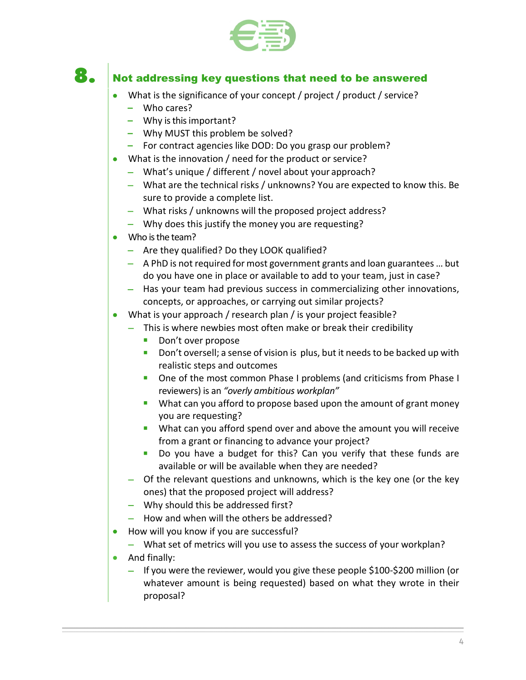

## $\mathbf{8.}$  Not addressing key questions that need to be answered

- What is the significance of your concept / project / product / service?
	- **–** Who cares?
	- **–** Why is this important?
	- **–** Why MUST this problem be solved?
	- **–** For contract agencies like DOD: Do you grasp our problem?
- What is the innovation / need for the product or service?
	- − What's unique / different / novel about your approach?
	- − What are the technical risks / unknowns? You are expected to know this. Be sure to provide a complete list.
	- − What risks / unknowns will the proposed project address?
	- − Why does this justify the money you are requesting?
- Who is the team?
	- − Are they qualified? Do they LOOK qualified?
	- − A PhD is not required for most government grants and loan guarantees … but do you have one in place or available to add to your team, just in case?
	- − Has your team had previous success in commercializing other innovations, concepts, or approaches, or carrying out similar projects?
- What is your approach / research plan / is your project feasible?
	- − This is where newbies most often make or break their credibility
		- Don't over propose
		- **Don't oversell; a sense of vision is plus, but it needs to be backed up with** realistic steps and outcomes
		- **One of the most common Phase I problems (and criticisms from Phase I** reviewers) is an *"overly ambitious workplan"*
		- **What can you afford to propose based upon the amount of grant money** you are requesting?
		- **What can you afford spend over and above the amount you will receive** from a grant or financing to advance your project?
		- Do you have a budget for this? Can you verify that these funds are available or will be available when they are needed?
	- − Of the relevant questions and unknowns, which is the key one (or the key ones) that the proposed project will address?
	- − Why should this be addressed first?
	- − How and when will the others be addressed?
- How will you know if you are successful?
	- − What set of metrics will you use to assess the success of your workplan?
- And finally:
	- − If you were the reviewer, would you give these people \$100-\$200 million (or whatever amount is being requested) based on what they wrote in their proposal?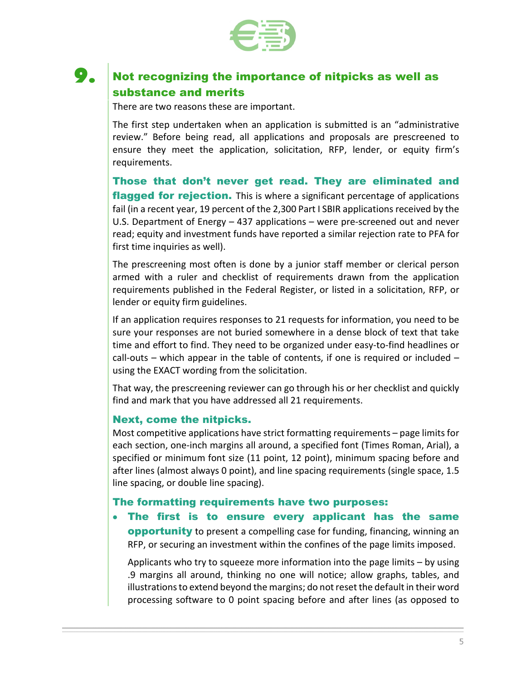

## **9.** Not recognizing the importance of nitpicks as well as substance and merits

There are two reasons these are important.

The first step undertaken when an application is submitted is an "administrative review." Before being read, all applications and proposals are prescreened to ensure they meet the application, solicitation, RFP, lender, or equity firm's requirements.

Those that don't never get read. They are eliminated and **flagged for rejection.** This is where a significant percentage of applications fail (in a recent year, 19 percent of the 2,300 Part I SBIR applications received by the U.S. Department of Energy – 437 applications – were pre-screened out and never read; equity and investment funds have reported a similar rejection rate to PFA for first time inquiries as well).

The prescreening most often is done by a junior staff member or clerical person armed with a ruler and checklist of requirements drawn from the application requirements published in the Federal Register, or listed in a solicitation, RFP, or lender or equity firm guidelines.

If an application requires responses to 21 requests for information, you need to be sure your responses are not buried somewhere in a dense block of text that take time and effort to find. They need to be organized under easy-to-find headlines or call-outs – which appear in the table of contents, if one is required or included  $$ using the EXACT wording from the solicitation.

That way, the prescreening reviewer can go through his or her checklist and quickly find and mark that you have addressed all 21 requirements.

#### Next, come the nitpicks.

Most competitive applications have strict formatting requirements – page limits for each section, one-inch margins all around, a specified font (Times Roman, Arial), a specified or minimum font size (11 point, 12 point), minimum spacing before and after lines (almost always 0 point), and line spacing requirements (single space, 1.5 line spacing, or double line spacing).

#### The formatting requirements have two purposes:

### • The first is to ensure every applicant has the same

**opportunity** to present a compelling case for funding, financing, winning an RFP, or securing an investment within the confines of the page limits imposed.

Applicants who try to squeeze more information into the page limits – by using .9 margins all around, thinking no one will notice; allow graphs, tables, and illustrations to extend beyond the margins; do not reset the default in their word processing software to 0 point spacing before and after lines (as opposed to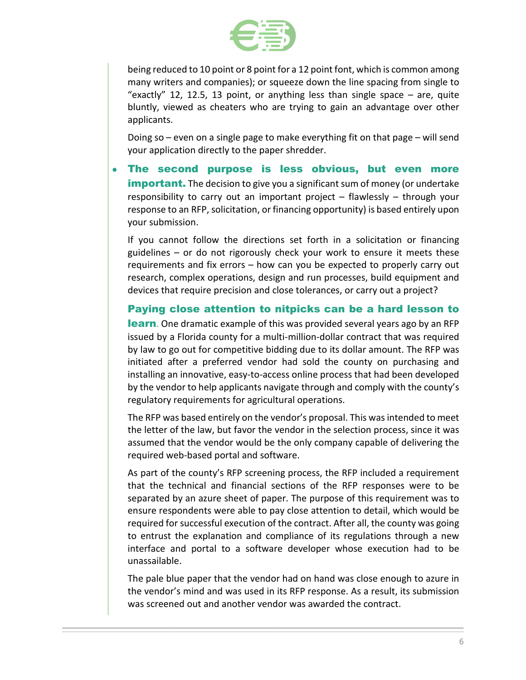

being reduced to 10 point or 8 point for a 12 point font, which is common among many writers and companies); or squeeze down the line spacing from single to "exactly" 12, 12.5, 13 point, or anything less than single space  $-$  are, quite bluntly, viewed as cheaters who are trying to gain an advantage over other applicants.

Doing so – even on a single page to make everything fit on that page – will send your application directly to the paper shredder.

The second purpose is less obvious, but even more **important.** The decision to give you a significant sum of money (or undertake responsibility to carry out an important project – flawlessly – through your response to an RFP, solicitation, or financing opportunity) is based entirely upon your submission.

If you cannot follow the directions set forth in a solicitation or financing guidelines – or do not rigorously check your work to ensure it meets these requirements and fix errors – how can you be expected to properly carry out research, complex operations, design and run processes, build equipment and devices that require precision and close tolerances, or carry out a project?

Paying close attention to nitpicks can be a hard lesson to **learn**. One dramatic example of this was provided several years ago by an RFP issued by a Florida county for a multi-million-dollar contract that was required by law to go out for competitive bidding due to its dollar amount. The RFP was initiated after a preferred vendor had sold the county on purchasing and installing an innovative, easy-to-access online process that had been developed by the vendor to help applicants navigate through and comply with the county's regulatory requirements for agricultural operations.

The RFP was based entirely on the vendor's proposal. This was intended to meet the letter of the law, but favor the vendor in the selection process, since it was assumed that the vendor would be the only company capable of delivering the required web-based portal and software.

As part of the county's RFP screening process, the RFP included a requirement that the technical and financial sections of the RFP responses were to be separated by an azure sheet of paper. The purpose of this requirement was to ensure respondents were able to pay close attention to detail, which would be required for successful execution of the contract. After all, the county was going to entrust the explanation and compliance of its regulations through a new interface and portal to a software developer whose execution had to be unassailable.

The pale blue paper that the vendor had on hand was close enough to azure in the vendor's mind and was used in its RFP response. As a result, its submission was screened out and another vendor was awarded the contract.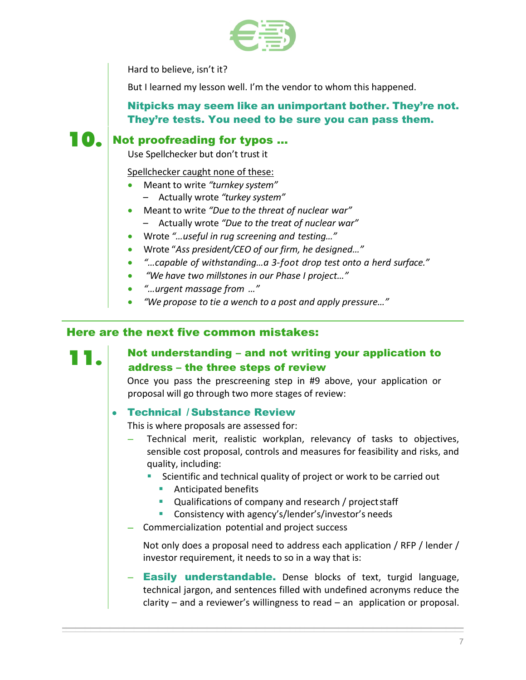

Hard to believe, isn't it?

But I learned my lesson well. I'm the vendor to whom this happened.

Nitpicks may seem like an unimportant bother. They're not. They're tests. You need to be sure you can pass them.

## **10.** Not proofreading for typos ...

Use Spellchecker but don't trust it

#### Spellchecker caught none of these:

- Meant to write *"turnkey system"*
	- Actually wrote *"turkey system"*
- Meant to write *"Due to the threat of nuclear war"*
	- Actually wrote *"Due to the treat of nuclear war"*
- Wrote *"…useful in rug screening and testing…"*
- Wrote "*Ass president/CEO of our firm, he designed…"*
- *"…capable of withstanding…a 3-foot drop test onto a herd surface."*
- *"We have two millstones in our Phase I project…"*
- *"…urgent massage from …"*
- *"We propose to tie a wench to a post and apply pressure…"*

### Here are the next five common mistakes:

### **11.** Not understanding – and not writing your application to address – the three steps of review

Once you pass the prescreening step in #9 above, your application or proposal will go through two more stages of review:

#### • Technical / Substance Review

This is where proposals are assessed for:

- Technical merit, realistic workplan, relevancy of tasks to objectives, sensible cost proposal, controls and measures for feasibility and risks, and quality, including:
	- Scientific and technical quality of project or work to be carried out
		- **Anticipated benefits**
		- **Qualifications of company and research / project staff**
		- **Consistency with agency's/lender's/investor's needs**
- − Commercialization potential and project success

Not only does a proposal need to address each application / RFP / lender / investor requirement, it needs to so in a way that is:

− Easily understandable. Dense blocks of text, turgid language, technical jargon, and sentences filled with undefined acronyms reduce the clarity – and a reviewer's willingness to read – an application or proposal.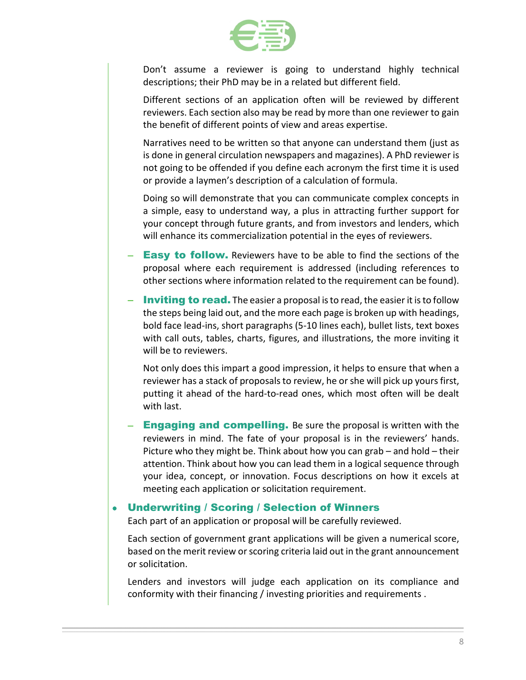

Don't assume a reviewer is going to understand highly technical descriptions; their PhD may be in a related but different field.

Different sections of an application often will be reviewed by different reviewers. Each section also may be read by more than one reviewer to gain the benefit of different points of view and areas expertise.

Narratives need to be written so that anyone can understand them (just as is done in general circulation newspapers and magazines). A PhD reviewer is not going to be offended if you define each acronym the first time it is used or provide a laymen's description of a calculation of formula.

Doing so will demonstrate that you can communicate complex concepts in a simple, easy to understand way, a plus in attracting further support for your concept through future grants, and from investors and lenders, which will enhance its commercialization potential in the eyes of reviewers.

- **Easy to follow.** Reviewers have to be able to find the sections of the proposal where each requirement is addressed (including references to other sections where information related to the requirement can be found).
- **Inviting to read.** The easier a proposal is to read, the easier it is to follow the steps being laid out, and the more each page is broken up with headings, bold face lead-ins, short paragraphs (5-10 lines each), bullet lists, text boxes with call outs, tables, charts, figures, and illustrations, the more inviting it will be to reviewers.

Not only does this impart a good impression, it helps to ensure that when a reviewer has a stack of proposals to review, he or she will pick up yours first, putting it ahead of the hard-to-read ones, which most often will be dealt with last.

− Engaging and compelling. Be sure the proposal is written with the reviewers in mind. The fate of your proposal is in the reviewers' hands. Picture who they might be. Think about how you can grab – and hold – their attention. Think about how you can lead them in a logical sequence through your idea, concept, or innovation. Focus descriptions on how it excels at meeting each application or solicitation requirement.

#### • Underwriting / Scoring / Selection of Winners

Each part of an application or proposal will be carefully reviewed.

Each section of government grant applications will be given a numerical score, based on the merit review or scoring criteria laid out in the grant announcement or solicitation.

Lenders and investors will judge each application on its compliance and conformity with their financing / investing priorities and requirements .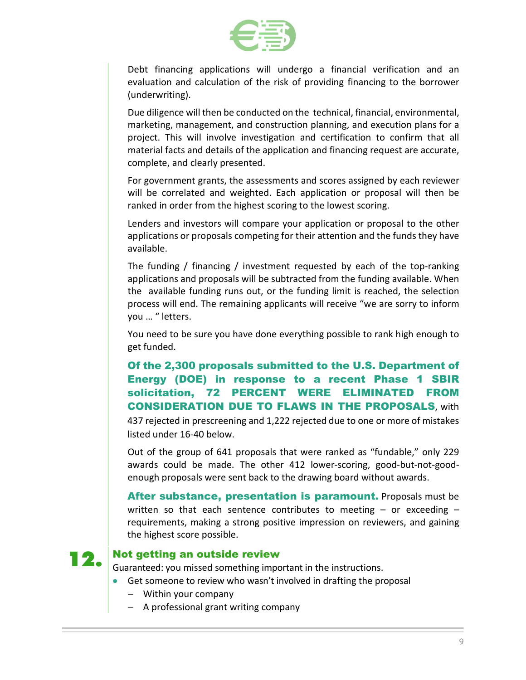

Debt financing applications will undergo a financial verification and an evaluation and calculation of the risk of providing financing to the borrower (underwriting).

Due diligence will then be conducted on the technical, financial, environmental, marketing, management, and construction planning, and execution plans for a project. This will involve investigation and certification to confirm that all material facts and details of the application and financing request are accurate, complete, and clearly presented.

For government grants, the assessments and scores assigned by each reviewer will be correlated and weighted. Each application or proposal will then be ranked in order from the highest scoring to the lowest scoring.

Lenders and investors will compare your application or proposal to the other applications or proposals competing for their attention and the funds they have available.

The funding / financing / investment requested by each of the top-ranking applications and proposals will be subtracted from the funding available. When the available funding runs out, or the funding limit is reached, the selection process will end. The remaining applicants will receive "we are sorry to inform you … " letters.

You need to be sure you have done everything possible to rank high enough to get funded.

### Of the 2,300 proposals submitted to the U.S. Department of Energy (DOE) in response to a recent Phase 1 SBIR solicitation, 72 PERCENT WERE ELIMINATED FROM CONSIDERATION DUE TO FLAWS IN THE PROPOSALS, with

437 rejected in prescreening and 1,222 rejected due to one or more of mistakes listed under 16-40 below.

Out of the group of 641 proposals that were ranked as "fundable," only 229 awards could be made. The other 412 lower-scoring, good-but-not-goodenough proposals were sent back to the drawing board without awards.

After substance, presentation is paramount. Proposals must be written so that each sentence contributes to meeting  $-$  or exceeding  $$ requirements, making a strong positive impression on reviewers, and gaining the highest score possible.

## **12.** Not getting an outside review

Guaranteed: you missed something important in the instructions.

- Get someone to review who wasn't involved in drafting the proposal
	- − Within your company
	- − A professional grant writing company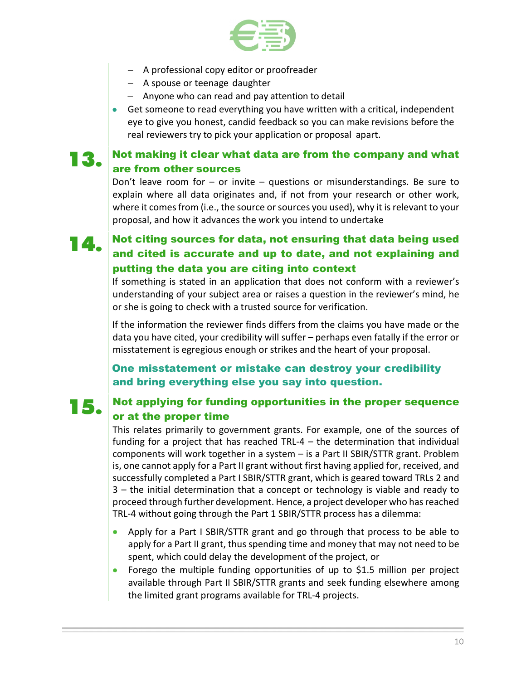

- − A professional copy editor or proofreader
- − A spouse or teenage daughter
- − Anyone who can read and pay attention to detail
- Get someone to read everything you have written with a critical, independent eye to give you honest, candid feedback so you can make revisions before the real reviewers try to pick your application or proposal apart.

## $\mathbf{13}_{\text{-}}$  Not making it clear what data are from the company and what are from other sources

Don't leave room for – or invite – questions or misunderstandings. Be sure to explain where all data originates and, if not from your research or other work, where it comes from (i.e., the source or sources you used), why it is relevant to your proposal, and how it advances the work you intend to undertake

## $\vert$   $\vert$   $\vert$  Not citing sources for data, not ensuring that data being used and cited is accurate and up to date, and not explaining and putting the data you are citing into context

If something is stated in an application that does not conform with a reviewer's understanding of your subject area or raises a question in the reviewer's mind, he or she is going to check with a trusted source for verification.

If the information the reviewer finds differs from the claims you have made or the data you have cited, your credibility will suffer – perhaps even fatally if the error or misstatement is egregious enough or strikes and the heart of your proposal.

One misstatement or mistake can destroy your credibility and bring everything else you say into question.

### $\bf 15$  Not applying for funding opportunities in the proper sequence or at the proper time

This relates primarily to government grants. For example, one of the sources of funding for a project that has reached TRL-4 – the determination that individual components will work together in a system – is a Part II SBIR/STTR grant. Problem is, one cannot apply for a Part II grant without first having applied for, received, and successfully completed a Part I SBIR/STTR grant, which is geared toward TRLs 2 and 3 – the initial determination that a concept or technology is viable and ready to proceed through further development. Hence, a project developer who has reached TRL-4 without going through the Part 1 SBIR/STTR process has a dilemma:

- Apply for a Part I SBIR/STTR grant and go through that process to be able to apply for a Part II grant, thus spending time and money that may not need to be spent, which could delay the development of the project, or
- Forego the multiple funding opportunities of up to \$1.5 million per project available through Part II SBIR/STTR grants and seek funding elsewhere among the limited grant programs available for TRL-4 projects.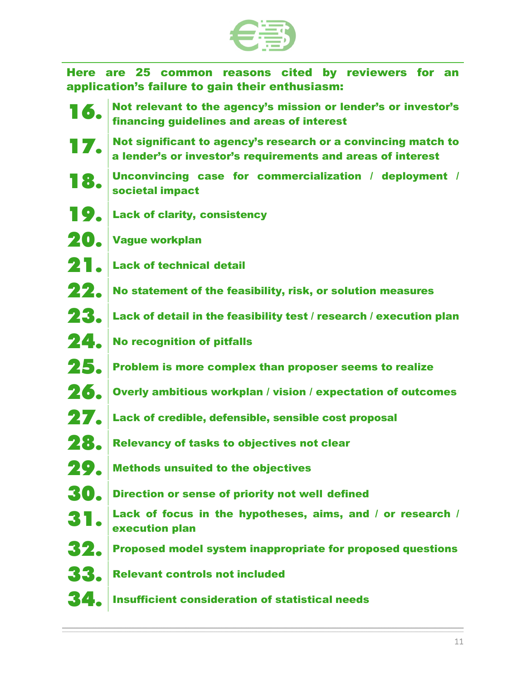

 Here are 25 common reasons cited by reviewers for an application's failure to gain their enthusiasm:

- **16.** Not relevant to the agency's mission or lender's or investor's financing guidelines and areas of interest
- **17.** Not significant to agency's research or a convincing match to a lender's or investor's requirements and areas of interest
- 18. Unconvincing case for commercialization / deployment / societal impact
- 19. Lack of clarity, consistency
- 20. Vague workplan
- 2<sup>1</sup>. Lack of technical detail
- $22.$  No statement of the feasibility, risk, or solution measures
- **23.** Lack of detail in the feasibility test / research / execution plan
- 24. No recognition of pitfalls
- 25. Problem is more complex than proposer seems to realize
- 26. Overly ambitious workplan / vision / expectation of outcomes
- 27. Lack of credible, defensible, sensible cost proposal
- **28.** Relevancy of tasks to objectives not clear
- 29. Methods unsuited to the objectives
- **30.** Direction or sense of priority not well defined
- 31. Lack of focus in the hypotheses, aims, and / or research / execution plan
- $32.$  Proposed model system inappropriate for proposed questions
- **33.** Relevant controls not included
- 34. Insufficient consideration of statistical needs